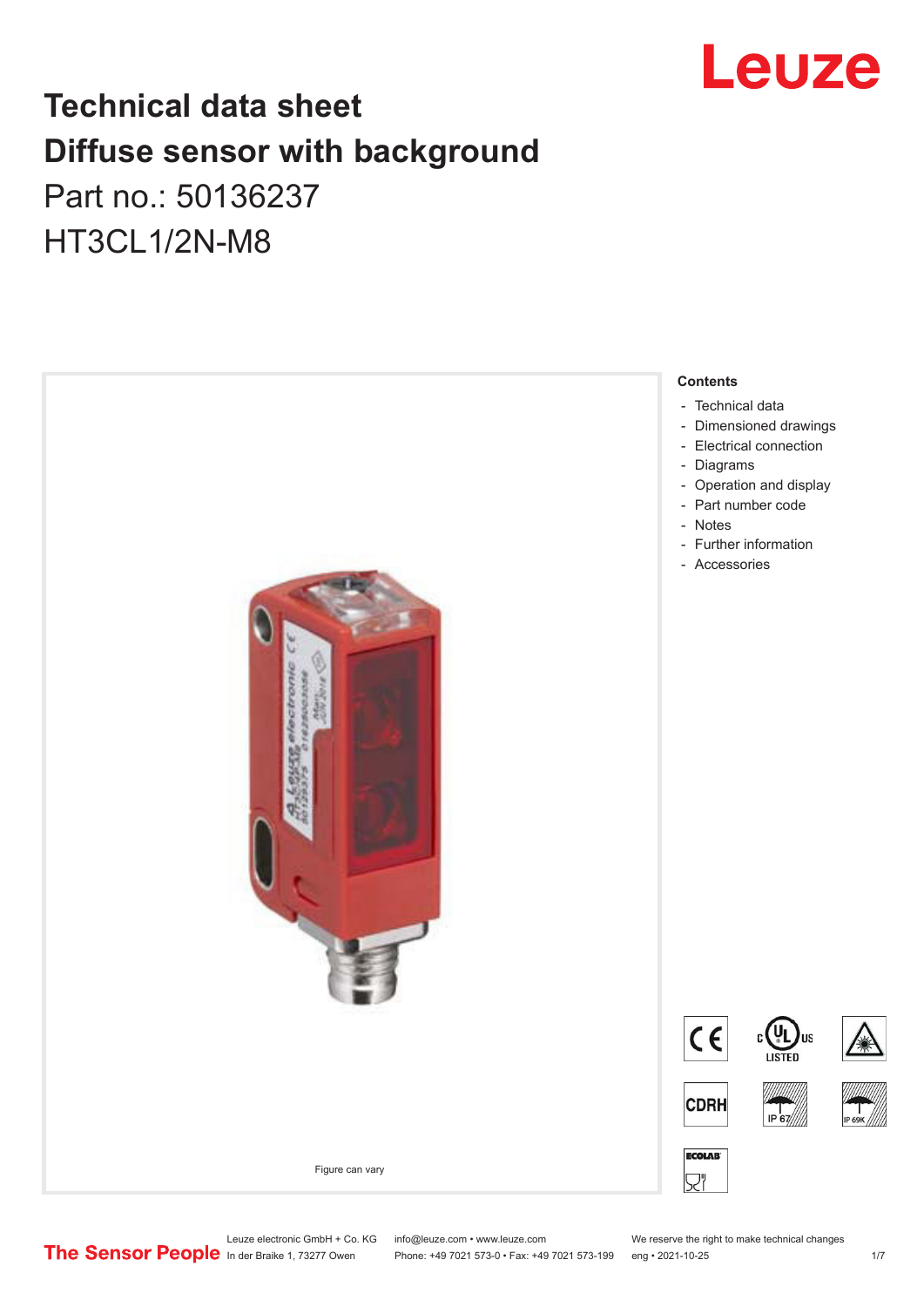

## **Technical data sheet Diffuse sensor with background**  Part no.: 50136237

HT3CL1/2N-M8



Leuze electronic GmbH + Co. KG info@leuze.com • www.leuze.com We reserve the right to make technical changes<br>
The Sensor People in der Braike 1, 73277 Owen Phone: +49 7021 573-0 • Fax: +49 7021 573-199 eng • 2021-10-25

Phone: +49 7021 573-0 • Fax: +49 7021 573-199 eng • 2021-10-25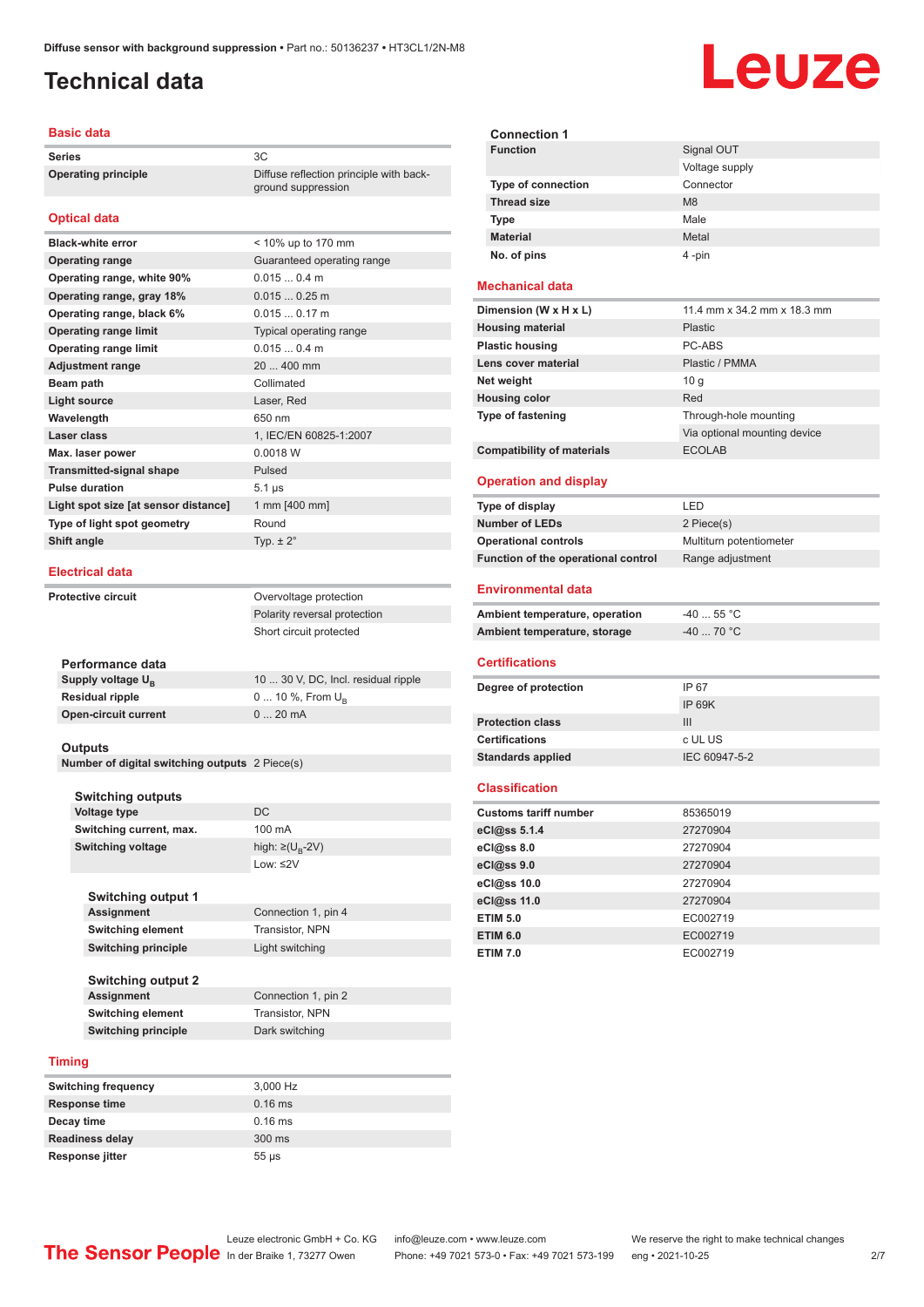ground suppression

#### <span id="page-1-0"></span>**Technical data**

#### **Basic data**

**Series** 3C **Operating principle** Diffuse reflection principle with back-

#### **Optical data**

| <b>Black-white error</b>             | < 10% up to 170 mm         |
|--------------------------------------|----------------------------|
| <b>Operating range</b>               | Guaranteed operating range |
| Operating range, white 90%           | 0.0150.4 m                 |
| Operating range, gray 18%            | 0.0150.25m                 |
| Operating range, black 6%            | $0.0150.17$ m              |
| <b>Operating range limit</b>         | Typical operating range    |
| <b>Operating range limit</b>         | 0.0150.4 m                 |
| <b>Adjustment range</b>              | 20  400 mm                 |
| Beam path                            | Collimated                 |
| <b>Light source</b>                  | Laser, Red                 |
| Wavelength                           | 650 nm                     |
| Laser class                          | 1, IEC/EN 60825-1:2007     |
| Max. laser power                     | 0.0018 W                   |
| <b>Transmitted-signal shape</b>      | Pulsed                     |
| <b>Pulse duration</b>                | $5.1 \,\mu s$              |
| Light spot size [at sensor distance] | 1 mm [400 mm]              |
| Type of light spot geometry          | Round                      |
| Shift angle                          | Typ. $\pm 2^{\circ}$       |
|                                      |                            |

#### **Electrical data**

**Protective circuit COVER COVER COVER COVER COVER** Polarity reversal protection Short circuit protected

| Performance data              |                                     |
|-------------------------------|-------------------------------------|
| Supply voltage U <sub>n</sub> | 10  30 V, DC, Incl. residual ripple |
| Residual ripple               | 0  10 %, From $U_{\rm B}$           |
| Open-circuit current          | $020$ mA                            |
|                               |                                     |

#### **Outputs**

**Number of digital switching outputs** 2 Piece(s)

|        | <b>Switching outputs</b>   |                                   |
|--------|----------------------------|-----------------------------------|
|        | <b>Voltage type</b>        | DC                                |
|        | Switching current, max.    | 100 mA                            |
|        | <b>Switching voltage</b>   | high: $\geq$ (U <sub>B</sub> -2V) |
|        |                            | $1$ nw: $\leq$ 2V                 |
|        |                            |                                   |
|        | <b>Switching output 1</b>  |                                   |
|        | Assignment                 | Connection 1, pin 4               |
|        | <b>Switching element</b>   | Transistor, NPN                   |
|        | <b>Switching principle</b> | Light switching                   |
|        |                            |                                   |
|        | <b>Switching output 2</b>  |                                   |
|        | Assignment                 | Connection 1, pin 2               |
|        | <b>Switching element</b>   | Transistor, NPN                   |
|        | <b>Switching principle</b> | Dark switching                    |
|        |                            |                                   |
| Timing |                            |                                   |

| <b>Switching frequency</b> | 3,000 Hz   |
|----------------------------|------------|
| <b>Response time</b>       | $0.16$ ms  |
| Decay time                 | $0.16$ ms  |
| <b>Readiness delay</b>     | 300 ms     |
| <b>Response jitter</b>     | $55 \mu s$ |

| <b>Connection 1</b>       |                |
|---------------------------|----------------|
| <b>Function</b>           | Signal OUT     |
|                           | Voltage supply |
| <b>Type of connection</b> | Connector      |
| <b>Thread size</b>        | M <sub>8</sub> |
| <b>Type</b>               | Male           |
| <b>Material</b>           | Metal          |
| No. of pins               | 4-pin          |

#### **Mechanical data**

| Dimension (W x H x L)             | 11.4 mm x 34.2 mm x 18.3 mm  |
|-----------------------------------|------------------------------|
| <b>Housing material</b>           | Plastic                      |
| <b>Plastic housing</b>            | PC-ABS                       |
| Lens cover material               | Plastic / PMMA               |
| Net weight                        | 10 q                         |
| <b>Housing color</b>              | Red                          |
| <b>Type of fastening</b>          | Through-hole mounting        |
|                                   | Via optional mounting device |
| <b>Compatibility of materials</b> | <b>ECOLAB</b>                |

#### **Operation and display**

| Type of display                     | I FD                    |
|-------------------------------------|-------------------------|
| <b>Number of LEDs</b>               | 2 Piece(s)              |
| <b>Operational controls</b>         | Multiturn potentiometer |
| Function of the operational control | Range adjustment        |

#### **Environmental data**

| Ambient temperature, operation | -40  55 °C                       |
|--------------------------------|----------------------------------|
| Ambient temperature, storage   | $-40$ 70 $^{\circ}$ C $^{\circ}$ |

#### **Certifications**

| Degree of protection     | IP 67         |
|--------------------------|---------------|
|                          | IP 69K        |
| <b>Protection class</b>  | Ш             |
| <b>Certifications</b>    | c UL US       |
| <b>Standards applied</b> | IEC 60947-5-2 |

#### **Classification**

| <b>Customs tariff number</b> | 85365019 |
|------------------------------|----------|
| eCl@ss 5.1.4                 | 27270904 |
| eCl@ss 8.0                   | 27270904 |
| eCl@ss 9.0                   | 27270904 |
| eCl@ss 10.0                  | 27270904 |
| eCl@ss 11.0                  | 27270904 |
| <b>ETIM 5.0</b>              | EC002719 |
| <b>ETIM 6.0</b>              | EC002719 |
| <b>ETIM 7.0</b>              | EC002719 |

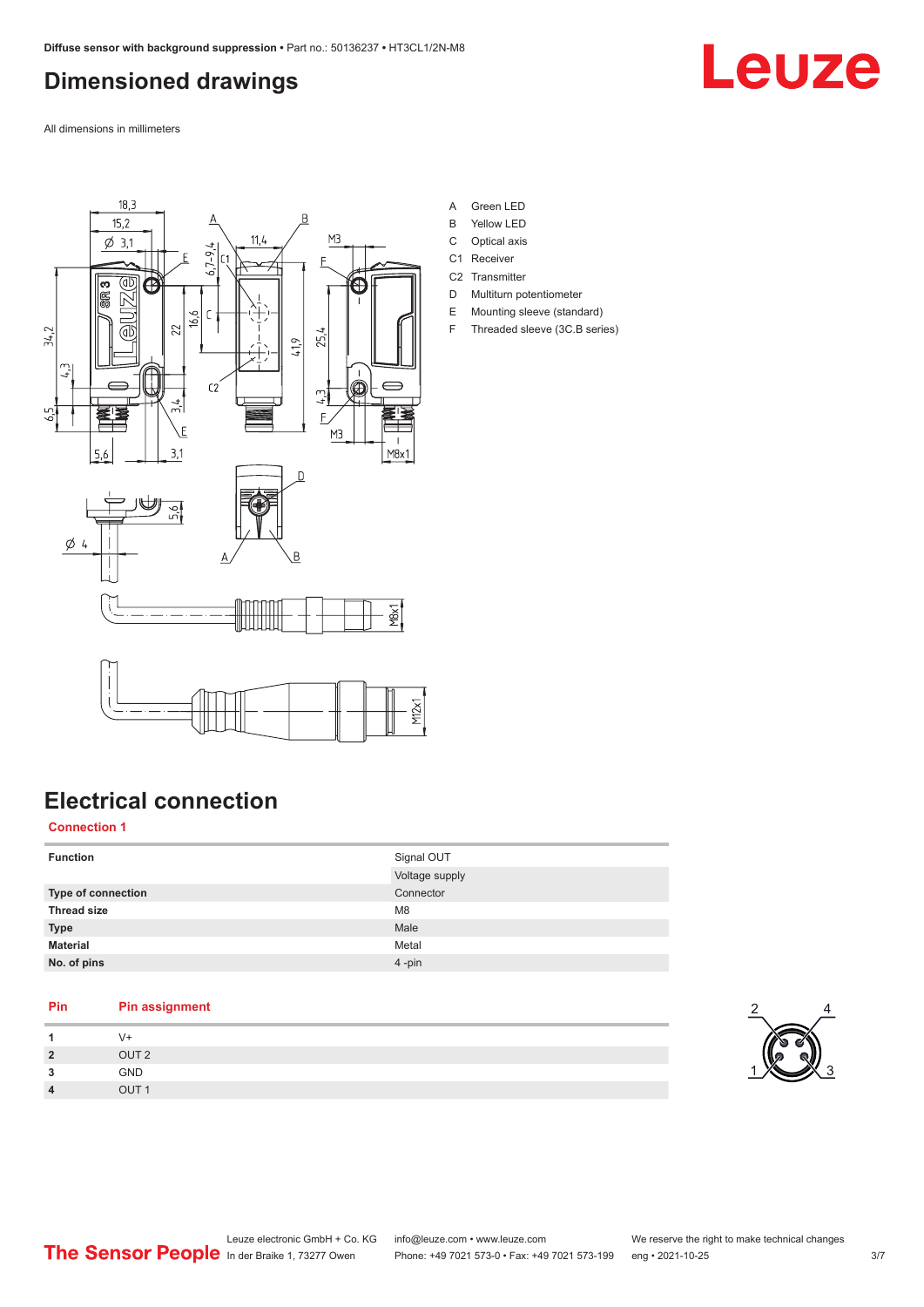## <span id="page-2-0"></span>**Dimensioned drawings**

Leuze

All dimensions in millimeters



- A Green LED
- B Yellow LED
- C Optical axis
- C1 Receiver
- C<sub>2</sub> Transmitter D Multiturn potentiometer
- E Mounting sleeve (standard)
- F Threaded sleeve (3C.B series)

## **Electrical connection**

#### **Connection 1**

| <b>Function</b>    | Signal OUT<br>Voltage supply |
|--------------------|------------------------------|
| Type of connection | Connector                    |
| <b>Thread size</b> | M <sub>8</sub>               |
| <b>Type</b>        | Male                         |
| <b>Material</b>    | Metal                        |
| No. of pins        | $4 - pin$                    |

#### **Pin Pin assignment**

| и              | $V +$            |
|----------------|------------------|
| $\overline{2}$ | OUT <sub>2</sub> |
| 3              | GND              |
| $\overline{4}$ | OUT <sub>1</sub> |

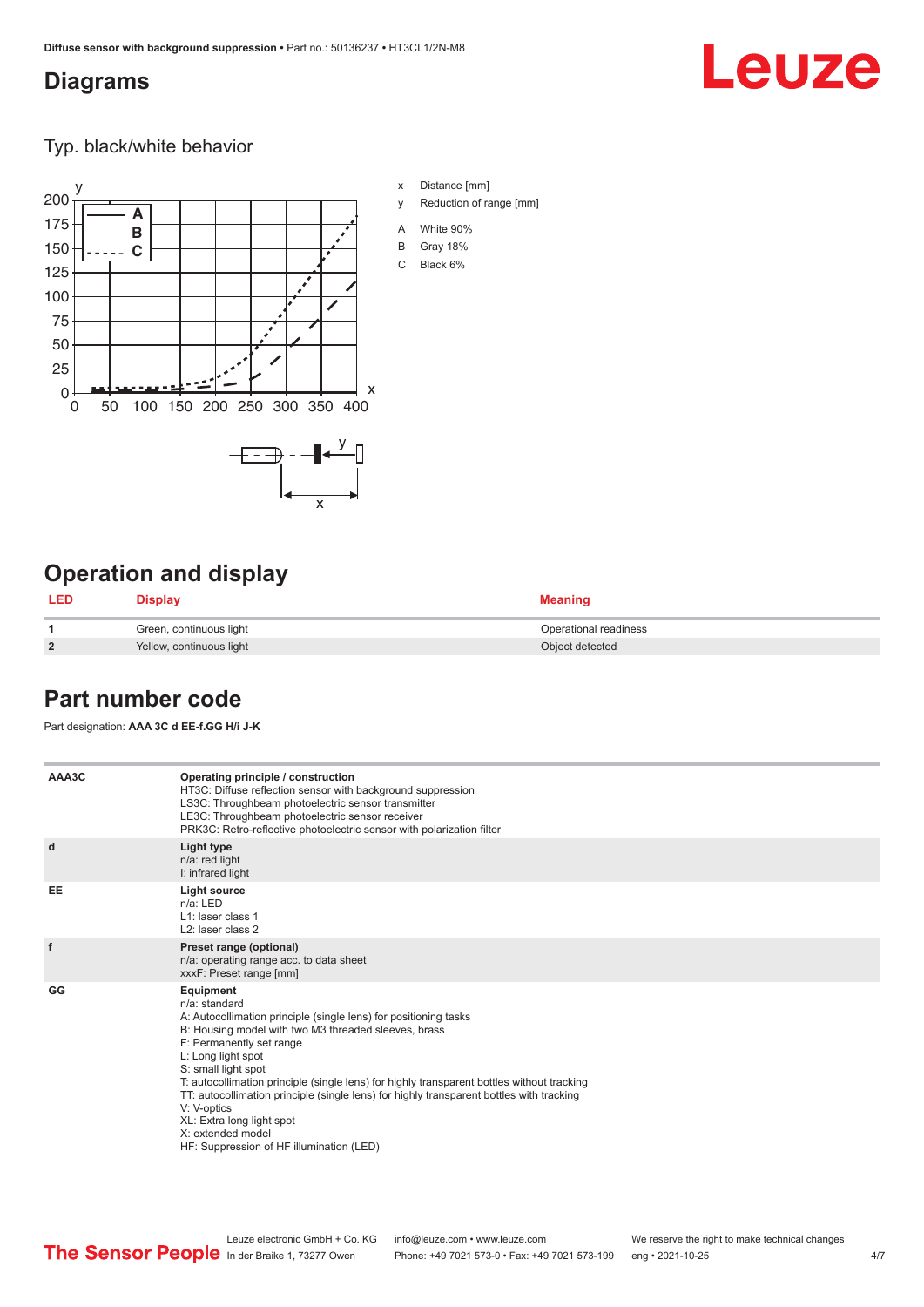### <span id="page-3-0"></span>**Diagrams**

# Leuze

Typ. black/white behavior



## **Operation and display**

| <b>LED</b>     | <b>Display</b>           | <b>Meaning</b>        |
|----------------|--------------------------|-----------------------|
|                | Green, continuous light  | Operational readiness |
| $\overline{2}$ | Yellow, continuous light | Object detected       |

## **Part number code**

Part designation: **AAA 3C d EE-f.GG H/i J-K**

| AAA3C     | Operating principle / construction<br>HT3C: Diffuse reflection sensor with background suppression<br>LS3C: Throughbeam photoelectric sensor transmitter<br>LE3C: Throughbeam photoelectric sensor receiver<br>PRK3C: Retro-reflective photoelectric sensor with polarization filter                                                                                                                                                                                                                                                    |  |  |  |  |
|-----------|----------------------------------------------------------------------------------------------------------------------------------------------------------------------------------------------------------------------------------------------------------------------------------------------------------------------------------------------------------------------------------------------------------------------------------------------------------------------------------------------------------------------------------------|--|--|--|--|
| d         | Light type<br>n/a: red light<br>I: infrared light                                                                                                                                                                                                                                                                                                                                                                                                                                                                                      |  |  |  |  |
| <b>EE</b> | Light source<br>$n/a$ : LED<br>L1: laser class 1<br>L <sub>2</sub> : laser class 2                                                                                                                                                                                                                                                                                                                                                                                                                                                     |  |  |  |  |
| f         | Preset range (optional)<br>n/a: operating range acc. to data sheet<br>xxxF: Preset range [mm]                                                                                                                                                                                                                                                                                                                                                                                                                                          |  |  |  |  |
| GG        | Equipment<br>n/a: standard<br>A: Autocollimation principle (single lens) for positioning tasks<br>B: Housing model with two M3 threaded sleeves, brass<br>F: Permanently set range<br>L: Long light spot<br>S: small light spot<br>T: autocollimation principle (single lens) for highly transparent bottles without tracking<br>TT: autocollimation principle (single lens) for highly transparent bottles with tracking<br>V: V-optics<br>XL: Extra long light spot<br>X: extended model<br>HF: Suppression of HF illumination (LED) |  |  |  |  |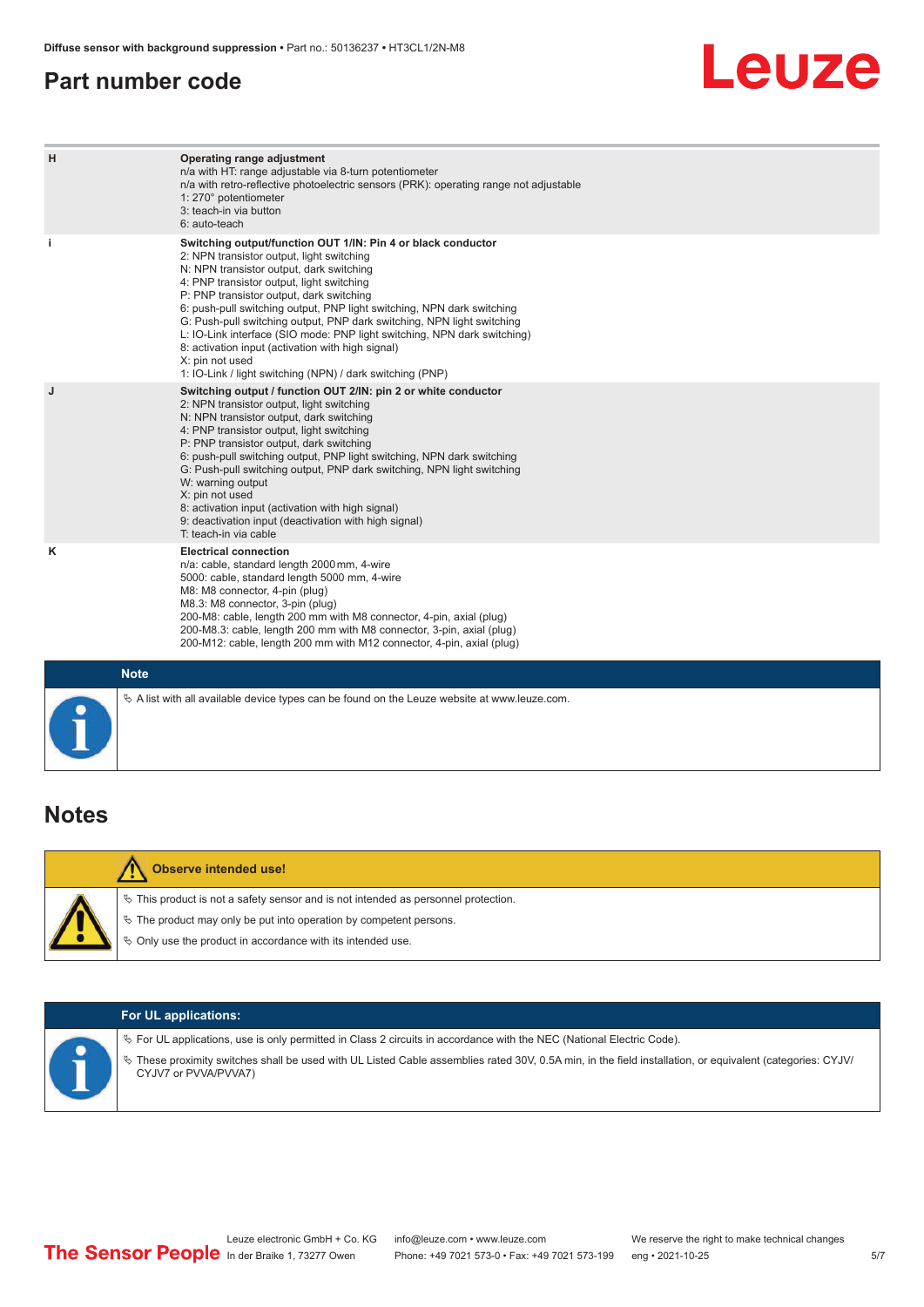#### <span id="page-4-0"></span>**Part number code**



| H           | Operating range adjustment<br>n/a with HT: range adjustable via 8-turn potentiometer<br>n/a with retro-reflective photoelectric sensors (PRK): operating range not adjustable<br>1: 270° potentiometer<br>3: teach-in via button<br>6: auto-teach                                                                                                                                                                                                                                                                                                                                                                   |
|-------------|---------------------------------------------------------------------------------------------------------------------------------------------------------------------------------------------------------------------------------------------------------------------------------------------------------------------------------------------------------------------------------------------------------------------------------------------------------------------------------------------------------------------------------------------------------------------------------------------------------------------|
| j.          | Switching output/function OUT 1/IN: Pin 4 or black conductor<br>2: NPN transistor output, light switching<br>N: NPN transistor output, dark switching<br>4: PNP transistor output, light switching<br>P: PNP transistor output, dark switching<br>6: push-pull switching output, PNP light switching, NPN dark switching<br>G: Push-pull switching output, PNP dark switching, NPN light switching<br>L: IO-Link interface (SIO mode: PNP light switching, NPN dark switching)<br>8: activation input (activation with high signal)<br>X: pin not used<br>1: IO-Link / light switching (NPN) / dark switching (PNP) |
| J           | Switching output / function OUT 2/IN: pin 2 or white conductor<br>2: NPN transistor output, light switching<br>N: NPN transistor output, dark switching<br>4: PNP transistor output, light switching<br>P: PNP transistor output, dark switching<br>6: push-pull switching output, PNP light switching, NPN dark switching<br>G: Push-pull switching output, PNP dark switching, NPN light switching<br>W: warning output<br>X: pin not used<br>8: activation input (activation with high signal)<br>9: deactivation input (deactivation with high signal)<br>T: teach-in via cable                                 |
| ĸ           | <b>Electrical connection</b><br>n/a: cable, standard length 2000 mm, 4-wire<br>5000: cable, standard length 5000 mm, 4-wire<br>M8: M8 connector, 4-pin (plug)<br>M8.3: M8 connector, 3-pin (plug)<br>200-M8: cable, length 200 mm with M8 connector, 4-pin, axial (plug)<br>200-M8.3: cable, length 200 mm with M8 connector, 3-pin, axial (plug)<br>200-M12: cable, length 200 mm with M12 connector, 4-pin, axial (plug)                                                                                                                                                                                          |
| <b>Note</b> |                                                                                                                                                                                                                                                                                                                                                                                                                                                                                                                                                                                                                     |

#### **Notes**

| <b>Observe intended use!</b>                                                                                                                                                                                                     |
|----------------------------------------------------------------------------------------------------------------------------------------------------------------------------------------------------------------------------------|
| $\%$ This product is not a safety sensor and is not intended as personnel protection.<br>$\&$ The product may only be put into operation by competent persons.<br>$\%$ Only use the product in accordance with its intended use. |

 $\%$  A list with all available device types can be found on the Leuze website at www.leuze.com.

| <b>For UL applications:</b>                                                                                                                                                                                                                                                                                   |
|---------------------------------------------------------------------------------------------------------------------------------------------------------------------------------------------------------------------------------------------------------------------------------------------------------------|
| $\%$ For UL applications, use is only permitted in Class 2 circuits in accordance with the NEC (National Electric Code).<br>V These proximity switches shall be used with UL Listed Cable assemblies rated 30V, 0.5A min, in the field installation, or equivalent (categories: CYJV/<br>CYJV7 or PVVA/PVVA7) |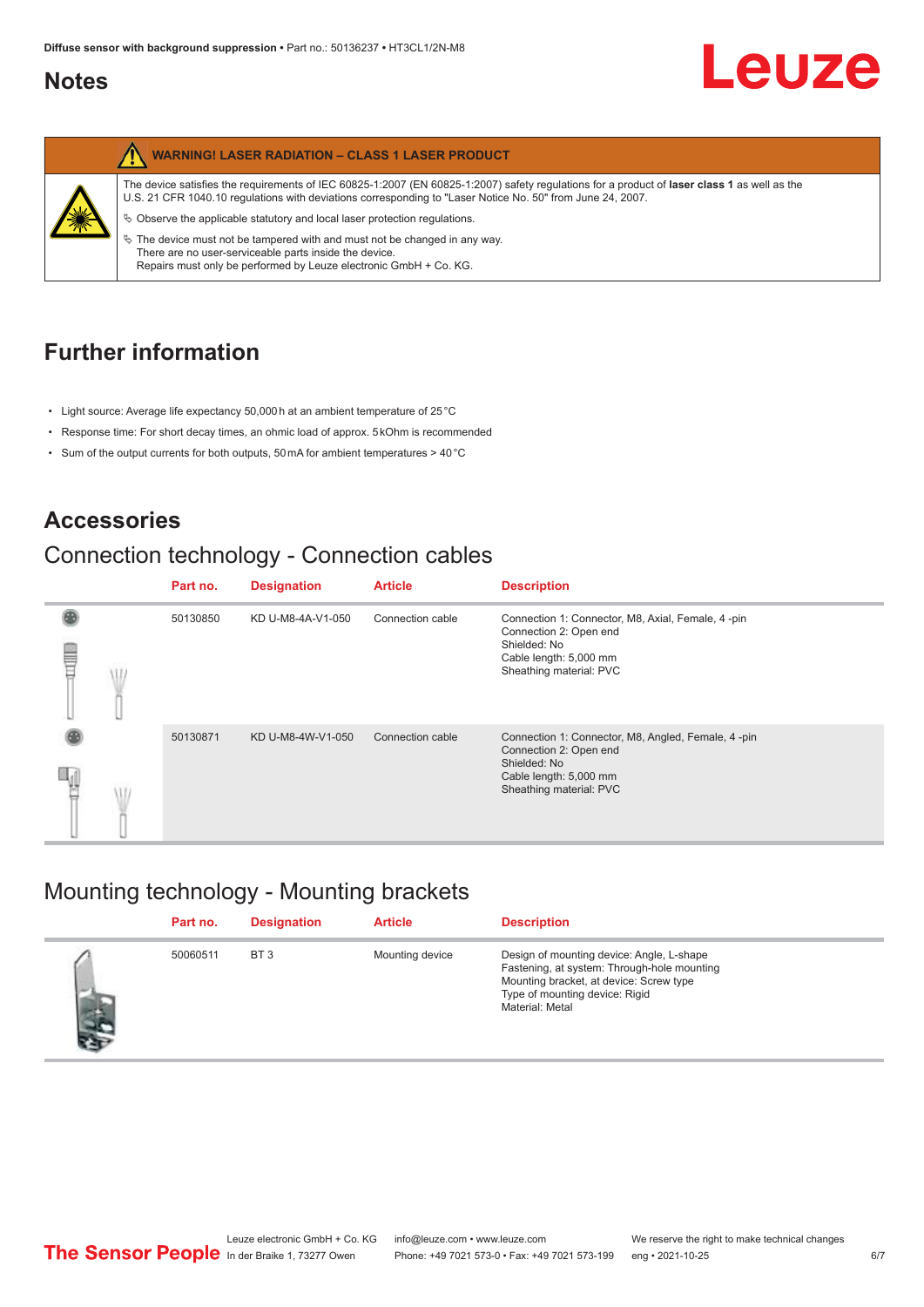### <span id="page-5-0"></span>**Notes**

|  | <b>WARNING! LASER RADIATION - CLASS 1 LASER PRODUCT</b>                                                                                                                                                                                                           |
|--|-------------------------------------------------------------------------------------------------------------------------------------------------------------------------------------------------------------------------------------------------------------------|
|  | The device satisfies the requirements of IEC 60825-1:2007 (EN 60825-1:2007) safety requiations for a product of <b>laser class 1</b> as well as the<br>U.S. 21 CFR 1040.10 regulations with deviations corresponding to "Laser Notice No. 50" from June 24, 2007. |
|  | $\&$ Observe the applicable statutory and local laser protection regulations.<br>$\%$ The device must not be tampered with and must not be changed in any way.                                                                                                    |
|  | There are no user-serviceable parts inside the device.<br>Repairs must only be performed by Leuze electronic GmbH + Co. KG.                                                                                                                                       |

## **Further information**

- Light source: Average life expectancy 50,000 h at an ambient temperature of 25 °C
- Response time: For short decay times, an ohmic load of approx. 5 kOhm is recommended
- Sum of the output currents for both outputs, 50 mA for ambient temperatures > 40 °C

## **Accessories**

## Connection technology - Connection cables

|   | Part no. | <b>Designation</b> | <b>Article</b>   | <b>Description</b>                                                                                                                                |
|---|----------|--------------------|------------------|---------------------------------------------------------------------------------------------------------------------------------------------------|
| ŧ | 50130850 | KD U-M8-4A-V1-050  | Connection cable | Connection 1: Connector, M8, Axial, Female, 4-pin<br>Connection 2: Open end<br>Shielded: No<br>Cable length: 5,000 mm<br>Sheathing material: PVC  |
|   | 50130871 | KD U-M8-4W-V1-050  | Connection cable | Connection 1: Connector, M8, Angled, Female, 4-pin<br>Connection 2: Open end<br>Shielded: No<br>Cable length: 5,000 mm<br>Sheathing material: PVC |

## Mounting technology - Mounting brackets

|   | Part no. | <b>Designation</b> | <b>Article</b>  | <b>Description</b>                                                                                                                                                                       |
|---|----------|--------------------|-----------------|------------------------------------------------------------------------------------------------------------------------------------------------------------------------------------------|
| 差 | 50060511 | BT <sub>3</sub>    | Mounting device | Design of mounting device: Angle, L-shape<br>Fastening, at system: Through-hole mounting<br>Mounting bracket, at device: Screw type<br>Type of mounting device: Rigid<br>Material: Metal |

Leuze